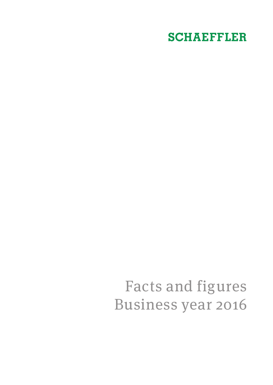# **SCHAEFFLER**

# Facts and figures Business year 2016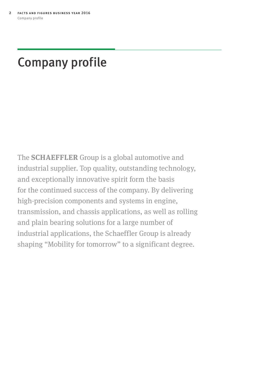# <span id="page-1-0"></span>Company profile

The **SCHAEFFLER** Group is a global automotive and industrial supplier. Top quality, outstanding technology, and exceptionally innovative spirit form the basis for the continued success of the company. By delivering high-precision components and systems in engine, transmission, and chassis applications, as well as rolling and plain bearing solutions for a large number of industrial applications, the Schaeffler Group is already shaping "Mobility for tomorrow" to a significant degree.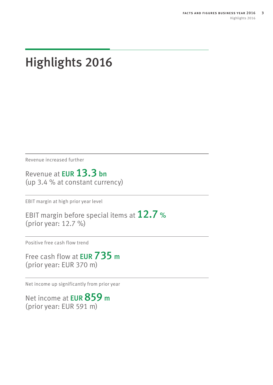# <span id="page-2-0"></span>Highlights 2016

Revenue increased further

Revenue at EUR 13.3 bn (up 3.4 % at constant currency)

EBIT margin at high prior year level

EBIT margin before special items at  $12.7$  % (prior year: 12.7 %)

Positive free cash flow trend

Free cash flow at **EUR 735 m** (prior year: EUR 370 m)

Net income up significantly from prior year

Net income at **EUR 859 m** (prior year: EUR 591 m)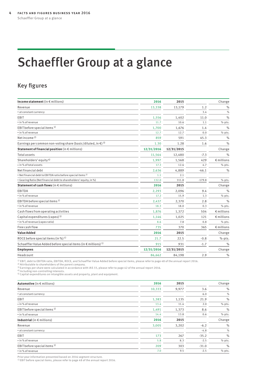# <span id="page-3-0"></span>Schaeffler Group at a glance

### Key figures

| Income statement (in $\epsilon$ millions)                                          | 2016       | 2015       |          | Change              |
|------------------------------------------------------------------------------------|------------|------------|----------|---------------------|
| Revenue                                                                            | 13,338     | 13,179     | 1.2      | $\%$                |
| • at constant currency                                                             |            |            | 3.4      | $\%$                |
| EBIT                                                                               | 1,556      | 1,402      | 11.0     | $\frac{0}{0}$       |
| • in % of revenue                                                                  | 11.7       | 10.6       | 1.1      | %-pts.              |
| EBIT before special items <sup>1)</sup>                                            | 1,700      | 1,676      | 1.4      | $\%$                |
| • in % of revenue                                                                  | 12.7       | 12.7       | 0.0      | %-pts.              |
| Net income $2$ )                                                                   | 859        | 591        | 45.3     | $\frac{0}{0}$       |
| Earnings per common non-voting share (basic/diluted, in $\xi$ ) <sup>3)</sup>      | 1.30       | 1.28       | 1.6      | $\frac{0}{0}$       |
| Statement of financial position (in $\epsilon$ millions)                           | 12/31/2016 | 12/31/2015 |          | Change              |
| <b>Total assets</b>                                                                | 11,564     | 12,480     | $-7.3$   | $\frac{1}{2}$       |
| Shareholders' equity <sup>4)</sup>                                                 | 1,997      | 1,568      | 429      | $\epsilon$ millions |
| . in % of total assets                                                             | 17.3       | 12.6       | 4.7      | $% -pts.$           |
| Net financial debt                                                                 | 2,636      | 4,889      | $-46.1$  | $\frac{0}{0}$       |
| . Net financial debt to EBITDA ratio before special items <sup>1)</sup>            | 1.1        | 2.1        |          |                     |
| • Gearing Ratio (Net financial debt to shareholders' equity, in %)                 | 132.0      | 311.8      | $-179.8$ | $% - pts.$          |
| Statement of cash flows (in $\epsilon$ millions)                                   | 2016       | 2015       |          | Change              |
| EBITDA                                                                             | 2,293      | 2,096      | 9.4      | $\frac{0}{0}$       |
| • in % of revenue                                                                  | 17.2       | 15.9       | 1.3      | %-pts.              |
| EBITDA before special items <sup>1)</sup>                                          | 2,437      | 2,370      | 2.8      | $\frac{0}{0}$       |
| • in % of revenue                                                                  | 18.3       | 18.0       | 0.3      | %-pts.              |
| Cash flows from operating activities                                               | 1,876      | 1,372      | 504      | $\epsilon$ millions |
| Capital expenditures (capex) <sup>5)</sup>                                         | 1,146      | 1,025      | 121      | $\epsilon$ millions |
| • in % of revenue (capex ratio)                                                    | 8.6        | 7.8        | 0.8      | %-pts.              |
| Free cash flow                                                                     | 735        | 370        | 365      | $\epsilon$ millions |
| <b>Value Added</b>                                                                 | 2016       | 2015       |          | Change              |
| ROCE before special items (in %) $1$ )                                             | 21.7       | 22.5       | $-0.8$   | %-pts.              |
| Schaeffler Value Added before special items (in $\epsilon$ millions) <sup>1)</sup> | 915        | 931        | $-1.7$   | $\frac{9}{6}$       |
| <b>Employees</b>                                                                   | 12/31/2016 | 12/31/2015 |          | Change              |
| Headcount                                                                          | 86,662     | 84,198     | 2.9      | $\frac{0}{0}$       |

<sup>1)</sup> EBIT, debt to EBITDA ratio, EBITDA, ROCE, and Schaeffler Value Added before special items, please refer to page 48 of the annual report 2016.<br><sup>2)</sup> Attributable to shareholders of the parent company.

3) Earnings per share were calculated in accordance with IAS 33, please refer to page 42 of the annual report 2016.<br><sup>4)</sup> Including non-controlling interests.<br><sup>5)</sup> Capital expenditures on intangible assets and property, pla

| Automotive (in $\epsilon$ millions)     | 2016   | 2015  |         | Change |
|-----------------------------------------|--------|-------|---------|--------|
| Revenue                                 | 10,333 | 9,977 | 3.6     | $\%$   |
| • at constant currency                  |        |       | 6.0     | $\%$   |
| EBIT                                    | 1,383  | 1,135 | 21.9    | $\%$   |
| • in % of revenue                       | 13.4   | 11.4  | 2.0     | %-pts. |
| EBIT before special items <sup>1)</sup> | 1,491  | 1,373 | 8.6     | $\%$   |
| • in % of revenue                       | 14.4   | 13.8  | 0.6     | %-pts. |
| Industrial (in $\epsilon$ millions)     | 2016   | 2015  |         | Change |
| Revenue                                 | 3,005  | 3,202 | $-6.2$  | $\%$   |
| • at constant currency                  |        |       | $-4.8$  | $\%$   |
| EBIT                                    | 173    | 267   | $-35.2$ | $\%$   |
| • in % of revenue                       | 5.8    | 8.3   | $-2.5$  | %-pts. |
| EBIT before special items <sup>1)</sup> | 209    | 303   | $-31.0$ | $\%$   |
| • in % of revenue                       | 7.0    | 9.5   | $-2.5$  | %-pts. |

Prior year information presented based on 2016 segment structure. 1) EBIT before special items, please refer to page 48 of the annual report 2016.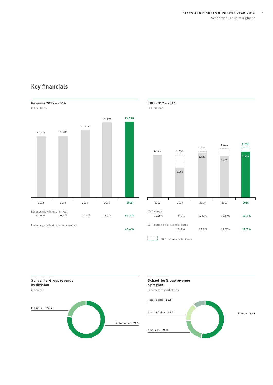## Revenue 2012–2016 in € millions 13,179 **13,338** 12,124 11,125 11,205  $\overline{1}$ 2012 2013 2014 2015 **2016** Revenue growth vs. prior year + 4.0 % + 0.7 % + 8.2 % + 8.7 % **+ 1.2 %** Revenue growth at constant currency **+ 3.4 %**

### Key financials



EBIT 2012–2016 in € millions

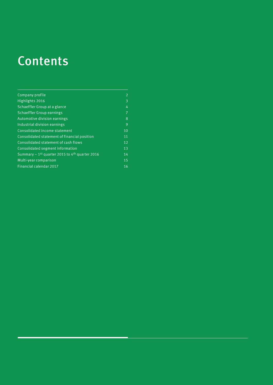# Contents

Verweise

| Company profile                                              | 2              |
|--------------------------------------------------------------|----------------|
| Highlights 2016                                              | 3              |
| Schaeffler Group at a glance                                 | 4              |
| <b>Schaeffler Group earnings</b>                             | $\overline{7}$ |
| Automotive division earnings                                 | 8              |
| Industrial division earnings                                 | 9              |
| Consolidated income statement                                | 10             |
| Consolidated statement of financial position                 | 11             |
| Consolidated statement of cash flows                         | 12             |
| Consolidated segment information                             | 13             |
| Summary – $1st$ quarter 2015 to 4 <sup>th</sup> quarter 2016 | 14             |
| Multi-year comparison                                        | 15             |
| Financial calendar 2017                                      | 16             |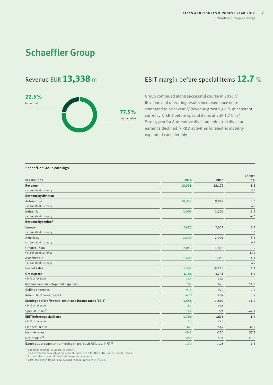## <span id="page-6-0"></span>**Schaeffler Group**



### Revenue EUR 13,338 m EBIT margin before special items 12.7 %

Group continued along successful course in 2016 // Revenue and operating results increased once more compared to prior year // Revenue growth 3.4 % at constant currency // EBIT before special items at EUR 1.7 bn // Strong year for Automotive division; Industrial division earnings declined // R&D activities for electric mobility expanded considerably

### Schaeffler Group earnings

| in $\epsilon$ millions                                                             | 2016     | 2015     | Change<br>in % |
|------------------------------------------------------------------------------------|----------|----------|----------------|
| Revenue                                                                            | 13,338   | 13,179   | 1.2            |
| • at constant currency                                                             |          |          | 3.4            |
| <b>Revenue by division</b>                                                         |          |          |                |
| Automotive                                                                         | 10,333   | 9,977    | 3.6            |
| • at constant currency                                                             |          |          | 6.0            |
| Industrial                                                                         | 3,005    | 3,202    | $-6.2$         |
| • at constant currency                                                             |          |          | $-4.8$         |
| Revenue by region <sup>1)</sup>                                                    |          |          |                |
| Europe                                                                             | 7,077    | 7,027    | 0.7            |
| • at constant currency                                                             |          |          | 1.8            |
| Americas                                                                           | 2,800    | 2,901    | $-3.5$         |
| • at constant currency                                                             |          |          | 0.1            |
| Greater China                                                                      | 2,053    | 1,898    | 8.2            |
| • at constant currency                                                             |          |          | 13.3           |
| Asia/Pacific                                                                       | 1,408    | 1,353    | 4.1            |
| • at constant currency                                                             |          |          | 4.7            |
| <b>Cost of sales</b>                                                               | $-9,552$ | $-9,448$ | 1.1            |
| <b>Gross profit</b>                                                                | 3,786    | 3,731    | 1.5            |
| • in % of revenue                                                                  | 28.4     | 28.3     |                |
| Research and development expenses                                                  | $-751$   | $-673$   | 11.6           |
| Selling expenses                                                                   | $-915$   | $-920$   | $-0.5$         |
| Administrative expenses                                                            | $-428$   | $-407$   | 5.2            |
| Earnings before financial result and income taxes (EBIT)                           | 1,556    | 1,402    | 11.0           |
| • in % of revenue                                                                  | 11.7     | 10.6     |                |
| Special items <sup>2)</sup>                                                        | 144      | 274      | $-47.4$        |
| <b>EBIT before special items</b>                                                   | 1,700    | 1,676    | 1.4            |
| • in % of revenue                                                                  | 12.7     | 12.7     |                |
| <b>Financial result</b>                                                            | $-341$   | $-547$   | $-37.7$        |
| <b>Incometaxes</b>                                                                 | $-343$   | $-250$   | 37.2           |
| Net income $3$ )                                                                   | 859      | 591      | 45.3           |
| Earnings per common non-voting share (basic/diluted, in $\epsilon$ ) <sup>4)</sup> | 1.30     | 1.28     | 1.6            |

<sup>1)</sup> Based on market (customer location).<br>2) Please refer to page 48 of the annual report 2016 for the definition of special items.<br><sup>3)</sup> Attributable to shareholders of the parent company.<br>4) Earnings per share were calcul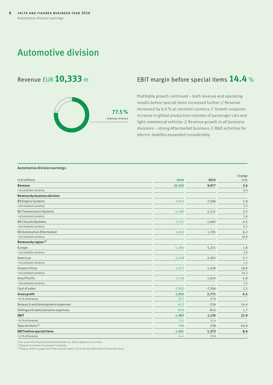### <span id="page-7-0"></span>Automotive division



### Revenue EUR 10,333 m EBIT margin before special items 14.4 %

Profitable growth continued – both revenue and operating results before special items increased further // Revenue increased by 6.0 % at constant currency // Growth outpaces increase in global production volumes of passenger cars and light commercial vehicles // Revenue growth in all business divisions – strong Aftermarket business // R&D activities for electric mobility expanded considerably

### Automotive division earnings

| in $\epsilon$ millions              | 2016     | 2015     | Change<br>in% |
|-------------------------------------|----------|----------|---------------|
| Revenue                             | 10,333   | 9,977    | 3.6           |
| • at constant currency              |          |          | 6.0           |
| Revenue by business division        |          |          |               |
| <b>BD Engine Systems</b>            | 2,643    | 2,596    | 1.8           |
| • at constant currency              |          |          | 3.3           |
| <b>BD Transmission Systems</b>      | 4,349    | 4,211    | 3.3           |
| • at constant currency              |          |          | 5.6           |
| <b>BD Chassis Systems</b>           | 1,531    | 1,465    | 4.5           |
| • at constant currency              |          |          | 6.3           |
| <b>BD Automotive Aftermarket</b>    | 1,810    | 1,705    | 6.2           |
| • at constant currency              |          |          | 10.8          |
| Revenue by region <sup>1)</sup>     |          |          |               |
| Europe                              | 5,304    | 5,211    | 1.8           |
| · at constant currency              |          |          | 2.9           |
| Americas                            | 2,238    | 2,301    | $-2.7$        |
| • at constant currency              |          |          | 1.3           |
| Greater China                       | 1,675    | 1,420    | 18.0          |
| • at constant currency              |          |          | 24.3          |
| Asia/Pacific                        | 1,116    | 1,045    | 6.8           |
| • at constant currency              |          |          | 7.3           |
| Cost of sales                       | $-7,383$ | $-7,206$ | 2.5           |
| <b>Gross profit</b>                 | 2,950    | 2,771    | 6.5           |
| • in % of revenue                   | 28.5     | 27.8     |               |
| Research and development expenses   | $-613$   | $-536$   | 14.4          |
| Selling and administrative expenses | $-828$   | $-814$   | 1.7           |
| <b>EBIT</b>                         | 1,383    | 1,135    | 21.9          |
| • in % of revenue                   | 13.4     | 11.4     |               |
| Special items <sup>2)</sup>         | 108      | 238      | $-54.6$       |
| <b>EBIT before special items</b>    | 1,491    | 1,373    | 8.6           |
| • in % of revenue                   | 14.4     | 13.8     |               |

Prior year information presented based on 2016 segment structure. 1) Based on market (customer location).

2) Please refer to page 48 of the annual report 2016 for the definition of special items.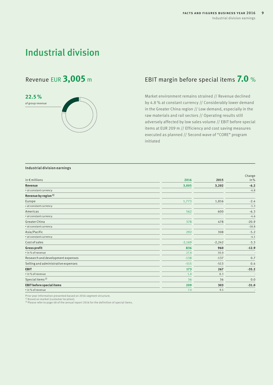## <span id="page-8-0"></span>Industrial division

# **22.5 %** of group revenue

### Revenue EUR **3,005** <sup>m</sup> EBIT margin before special items **7.0** %

Market environment remains strained // Revenue declined by 4.8 % at constant currency // Considerably lower demand in the Greater China region // Low demand, especially in the raw materials and rail sectors // Operating results still adversely affected by low sales volume // EBIT before special items at EUR 209 m // Efficiency and cost saving measures executed as planned // Second wave of "CORE" program initiated

### Industrial division earnings

| in $\notin$ millions                | 2016     | 2015     | Change<br>in % |
|-------------------------------------|----------|----------|----------------|
|                                     |          |          |                |
| Revenue                             | 3,005    | 3,202    | $-6.2$         |
| • at constant currency              |          |          | $-4.8$         |
| Revenue by region <sup>1)</sup>     |          |          |                |
| Europe                              | 1,773    | 1,816    | $-2.4$         |
| • at constant currency              |          |          | $-1.3$         |
| Americas                            | 562      | 600      | $-6.3$         |
| • at constant currency              |          |          | $-4.6$         |
| Greater China                       | 378      | 478      | $-20.9$        |
| • at constant currency              |          |          | $-18.8$        |
| Asia/Pacific                        | 292      | 308      | $-5.2$         |
| • at constant currency              |          |          | $-4.1$         |
| Cost of sales                       | $-2,169$ | $-2,242$ | $-3.3$         |
| <b>Gross profit</b>                 | 836      | 960      | $-12.9$        |
| • in % of revenue                   | 27.8     | 30.0     |                |
| Research and development expenses   | $-138$   | $-137$   | 0.7            |
| Selling and administrative expenses | $-515$   | $-513$   | 0.4            |
| <b>EBIT</b>                         | 173      | 267      | $-35.2$        |
| • in % of revenue                   | 5.8      | 8.3      |                |
| Special items <sup>2)</sup>         | 36       | 36       | 0.0            |
| <b>EBIT before special items</b>    | 209      | 303      | $-31.0$        |
| • in % of revenue                   | 7.0      | 9.5      |                |

Prior year information presented based on 2016 segment structure. 1) Based on market (customer location).

2) Please refer to page 48 of the annual report 2016 for the definition of special items.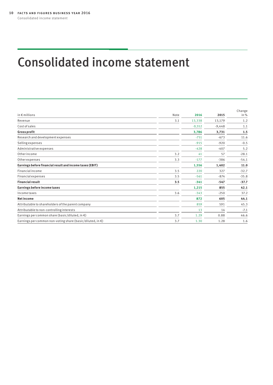# <span id="page-9-0"></span>Consolidated income statement

|                                                                      |      |          |          | Change  |
|----------------------------------------------------------------------|------|----------|----------|---------|
| in $\epsilon$ millions                                               | Note | 2016     | 2015     | in %    |
| Revenue                                                              | 3.1  | 13,338   | 13,179   | 1.2     |
| Cost of sales                                                        |      | $-9,552$ | $-9,448$ | 1.1     |
| <b>Gross profit</b>                                                  |      | 3,786    | 3,731    | 1.5     |
| Research and development expenses                                    |      | $-751$   | $-673$   | 11.6    |
| Selling expenses                                                     |      | $-915$   | $-920$   | $-0.5$  |
| Administrative expenses                                              |      | $-428$   | $-407$   | 5.2     |
| Otherincome                                                          | 3.2  | 41       | 57       | $-28.1$ |
| Otherexpenses                                                        | 3.3  | $-177$   | $-386$   | $-54.1$ |
| Earnings before financial result and income taxes (EBIT)             |      | 1,556    | 1,402    | 11.0    |
| Financial income                                                     | 3.5  | 220      | 327      | $-32.7$ |
| <b>Financial expenses</b>                                            | 3.5  | $-561$   | $-874$   | $-35.8$ |
| <b>Financial result</b>                                              | 3.5  | $-341$   | $-547$   | $-37.7$ |
| Earnings before income taxes                                         |      | 1,215    | 855      | 42.1    |
| Income taxes                                                         | 3.6  | $-343$   | $-250$   | 37.2    |
| <b>Net income</b>                                                    |      | 872      | 605      | 44.1    |
| Attributable to shareholders of the parent company                   |      | 859      | 591      | 45.3    |
| Attributable to non-controlling interests                            |      | 13       | 14       | $-7.1$  |
| Earnings per common share (basic/diluted, in $\epsilon$ )            | 3.7  | 1.29     | 0.88     | 46.6    |
| Earnings per common non-voting share (basic/diluted, in $\epsilon$ ) | 3.7  | 1.30     | 1.28     | 1.6     |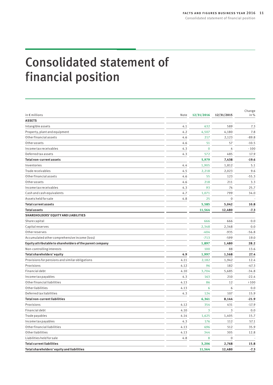# <span id="page-10-0"></span>Consolidated statement of financial position

| in $\epsilon$ millions                                    | Note | 12/31/2016  | 12/31/2015   | Change<br>in% |
|-----------------------------------------------------------|------|-------------|--------------|---------------|
| <b>ASSETS</b>                                             |      |             |              |               |
| Intangible assets                                         | 4.1  | 632         | 589          | 7.3           |
| Property, plant and equipment                             | 4.2  | 4,507       | 4,180        | 7.8           |
| Other financial assets                                    | 4.6  | 217         | 2,123        | $-89.8$       |
| Otherassets                                               | 4.6  | 51          | 57           | $-10.5$       |
| Income tax receivables                                    | 4.3  | $\mathbf 0$ | 4            | $-100$        |
| Deferred tax assets                                       | 4.3  | 572         | 485          | 17.9          |
| <b>Total non-current assets</b>                           |      | 5,979       | 7,438        | $-19.6$       |
| Inventories                                               | 4.4  | 1,905       | 1,812        | 5.1           |
| Trade receivables                                         | 4.5  | 2,218       | 2,023        | 9.6           |
| Other financial assets                                    | 4.6  | 55          | 123          | $-55.3$       |
| Otherassets                                               | 4.6  | 218         | 211          | 3.3           |
| Income tax receivables                                    | 4.3  | 93          | 74           | 25.7          |
| Cash and cash equivalents                                 | 4.7  | 1,071       | 799          | 34.0          |
| Assets held for sale                                      | 4.8  | 25          | $\mathbf{0}$ |               |
| <b>Total current assets</b>                               |      | 5,585       | 5,042        | 10.8          |
| <b>Total assets</b>                                       |      | 11,564      | 12,480       | $-7.3$        |
| SHAREHOLDERS' EQUITY AND LIABILITIES                      |      |             |              |               |
| Share capital                                             |      | 666         | 666          | 0.0           |
| Capital reserves                                          |      | 2,348       | 2,348        | 0.0           |
| Otherreserves                                             |      | $-404$      | $-935$       | $-56.8$       |
| Accumulated other comprehensive income (loss)             |      | $-713$      | $-599$       | 19.0          |
| Equity attributable to shareholders of the parent company |      | 1,897       | 1,480        | 28.2          |
| Non-controlling interests                                 |      | 100         | 88           | 13.6          |
| Total shareholders' equity                                | 4.9  | 1,997       | 1,568        | 27.4          |
| Provisions for pensions and similar obligations           | 4.11 | 2,182       | 1,942        | 12.4          |
| Provisions                                                | 4.12 | 96          | 182          | $-47.3$       |
| Financial debt                                            | 4.10 | 3,704       | 5,685        | $-34.8$       |
| Income tax payables                                       | 4.3  | 163         | 210          | $-22.4$       |
| Other financial liabilities                               | 4.13 | 86          | 12           | >100          |
| Otherliabilities                                          | 4.13 | 6           | 6            | 0.0           |
| Deferred tax liabilities                                  | 4.3  | 124         | 107          | 15.9          |
| <b>Total non-current liabilities</b>                      |      | 6,361       | 8,144        | $-21.9$       |
| Provisions                                                | 4.12 | 354         | 431          | $-17.9$       |
| Financial debt                                            | 4.10 | 3           | 3            | 0.0           |
| Trade payables                                            | 4.14 | 1,625       | 1,405        | 15.7          |
| Income tax payables                                       | 4.3  | 176         | 112          | 57.1          |
| Other financial liabilities                               | 4.13 | 696         | 512          | 35.9          |
| Otherliabilities                                          | 4.13 | 344         | 305          | 12.8          |
| Liabilities held for sale                                 | 4.8  | 8           | $\mathbf 0$  |               |
| <b>Total current liabilities</b>                          |      | 3,206       | 2,768        | 15.8          |
| Total shareholders' equity and liabilities                |      | 11,564      | 12,480       | $-7.3$        |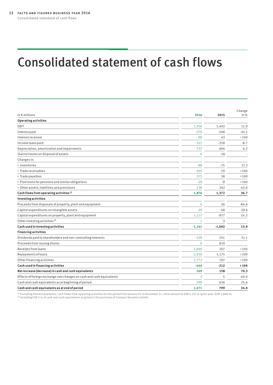# <span id="page-11-0"></span>Consolidated statement of cash flows

| in $\epsilon$ millions                                                | 2016         | 2015     | Change<br>in% |
|-----------------------------------------------------------------------|--------------|----------|---------------|
| <b>Operating activities</b>                                           |              |          |               |
| EBIT                                                                  | 1,556        | 1,402    | 11.0          |
| Interest paid                                                         | $-279$       | $-508$   | $-45.1$       |
| Interest received                                                     | 98           | 43       | >100          |
| Income taxes paid                                                     | $-327$       | $-358$   | $-8.7$        |
| Depreciation, amortization and impairments                            | 737          | 694      | 6.2           |
| (Gains) losses on disposal of assets                                  | 4            | $-18$    |               |
| Changes in:                                                           |              |          |               |
| · Inventories                                                         | $-88$        | $-75$    | 17.3          |
| · Trade receivables                                                   | $-205$       | $-79$    | >100          |
| • Trade payables                                                      | 271          | 38       | >100          |
| • Provisions for pensions and similar obligations                     | $-29$        | $-9$     | >100          |
| · Other assets, liabilities and provisions                            | 138          | 242      | $-43.0$       |
| Cash flows from operating activities <sup>1)</sup>                    | 1,876        | 1,372    | 36.7          |
| <b>Investing activities</b>                                           |              |          |               |
| Proceeds from disposals of property, plant and equipment              | 4            | 26       | $-84.6$       |
| Capital expenditures on intangible assets                             | $-29$        | -48      | $-39.6$       |
| Capital expenditures on property, plant and equipment                 | $-1,117$     | $-977$   | 14.3          |
| Other investing activities <sup>2)</sup>                              | $\mathbf{1}$ | $-3$     |               |
| Cash used in investing activities                                     | $-1,141$     | $-1,002$ | 13.9          |
| <b>Financing activities</b>                                           |              |          |               |
| Dividends paid to shareholders and non-controlling interests          | $-329$       | $-251$   | 31.1          |
| Proceeds from issuing shares                                          | $\mathbf{0}$ | 810      |               |
| Receipts from loans                                                   | 1,000        | 207      | >100          |
| Repayments of loans                                                   | $-2,910$     | $-1,175$ | >100          |
| Other financing activities                                            | 1,773        | 197      | >100          |
| Cash used in financing activities                                     | -466         | $-212$   | >100          |
| Net increase (decrease) in cash and cash equivalents                  | 269          | 158      | 70.3          |
| Effects of foreign exchange rate changes on cash and cash equivalents | 3            | 5        | $-40.0$       |
| Cash and cash equivalents as at beginning of period                   | 799          | 636      | 25.6          |
| Cash and cash equivalents as at end of period                         | 1.071        | 799      | 34.0          |

<sup>1)</sup> Excluding interest payments, cash flows from operating activities for the period from January 01 to December 31, 2016 amount to EUR 2,155 m (prior year: EUR 1,880 m).<br><sup>2)</sup> Including EUR 2 m of cash and cash equivalent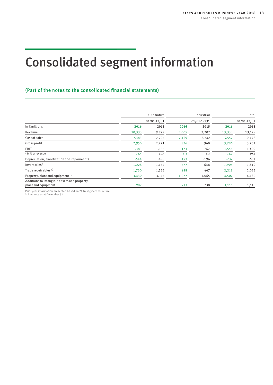# <span id="page-12-0"></span>Consolidated segment information

### (Part of the notes to the consolidated financial statements)

|                                                                     | Automotive<br>01/01-12/31 |          |               | Industrial | Total           |          |
|---------------------------------------------------------------------|---------------------------|----------|---------------|------------|-----------------|----------|
|                                                                     |                           |          | $01/01-12/31$ |            | $01/01 - 12/31$ |          |
| in $\epsilon$ millions                                              | 2016                      | 2015     | 2016          | 2015       | 2016            | 2015     |
| Revenue                                                             | 10,333                    | 9,977    | 3,005         | 3,202      | 13,338          | 13,179   |
| Cost of sales                                                       | $-7,383$                  | $-7,206$ | $-2,169$      | $-2,242$   | $-9,552$        | $-9,448$ |
| Gross profit                                                        | 2,950                     | 2,771    | 836           | 960        | 3,786           | 3,731    |
| EBIT                                                                | 1,383                     | 1,135    | 173           | 267        | 1,556           | 1,402    |
| • in % of revenue                                                   | 13.4                      | 11.4     | 5.8           | 8.3        | 11.7            | 10.6     |
| Depreciation, amortization and impairments                          | $-544$                    | $-498$   | $-193$        | $-196$     | $-737$          | $-694$   |
| Inventories <sup>1)</sup>                                           | 1,228                     | 1,164    | 677           | 648        | 1,905           | 1,812    |
| Trade receivables <sup>1)</sup>                                     | 1,730                     | 1,556    | 488           | 467        | 2,218           | 2,023    |
| Property, plant and equipment <sup>1)</sup>                         | 3,430                     | 3,115    | 1,077         | 1,065      | 4,507           | 4,180    |
| Additions to intangible assets and property,<br>plant and equipment | 902                       | 880      | 213           | 238        | 1,115           | 1,118    |

Prior year information presented based on 2016 segment structure. 1) Amounts as at December 31.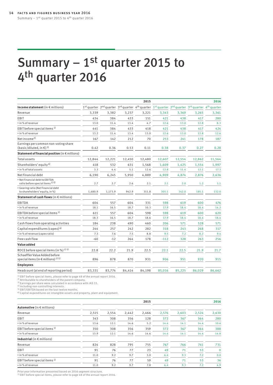# <span id="page-13-0"></span>Summary  $-1$ <sup>st</sup> quarter 2015 to 4th quarter 2016

|                                                                                                |         |         |        | 2015   |        |                                                                                                 |        | 2016   |
|------------------------------------------------------------------------------------------------|---------|---------|--------|--------|--------|-------------------------------------------------------------------------------------------------|--------|--------|
| Income statement (in $\epsilon$ millions)                                                      |         |         |        |        |        | 1st quarter 2nd quarter 3rd quarter 4th quarter 1st quarter 2nd quarter 3rd quarter 4th quarter |        |        |
| Revenue                                                                                        | 3,339   | 3,382   | 3,237  | 3,221  | 3,343  | 3,369                                                                                           | 3,265  | 3,361  |
| EBIT                                                                                           | 434     | 384     | 433    | 151    | 421    | 438                                                                                             | 417    | 280    |
| • in % of revenue                                                                              | 13.0    | 11.4    | 13.4   | 4.7    | 12.6   | 13.0                                                                                            | 12.8   | 8.3    |
| EBIT before special items <sup>1)</sup>                                                        | 441     | 384     | 433    | 418    | 421    | 438                                                                                             | 417    | 424    |
| • in % of revenue                                                                              | 13.2    | 11.4    | 13.4   | 13.0   | 12.6   | 13.0                                                                                            | 12.8   | 12.6   |
| Net income <sup>2)</sup>                                                                       | 167     | 142     | 212    | 70     | 253    | 241                                                                                             | 178    | 187    |
| Earnings per common non-voting share<br>(basic/diluted, in $\in$ ) <sup>3)</sup>               | 0.42    | 0.36    | 0.53   | 0.11   | 0.38   | 0.37                                                                                            | 0.27   | 0.28   |
| Statement of financial position (in € millions)                                                |         |         |        |        |        |                                                                                                 |        |        |
| <b>Total assets</b>                                                                            | 12,844  | 12,221  | 12,450 | 12,480 | 12,607 | 12,554                                                                                          | 12,862 | 11,564 |
| Shareholders' equity <sup>4)</sup>                                                             | 418     | 532     | 631    | 1,568  | 1,609  | 1,425                                                                                           | 1,554  | 1,997  |
| . in % of total assets                                                                         | 3.3     | 4.4     | 5.1    | 12.6   | 12.8   | 11.4                                                                                            | 12.1   | 17.3   |
| Net financial debt                                                                             | 6,190   | 6,245   | 5,950  | 4,889  | 4,909  | 4,874                                                                                           | 2,876  | 2,636  |
| · Net financial debt to EBITDA<br>ratio before special items <sup>1)</sup> <sup>5</sup>        | 2.7     | 2.7     | 2.6    | 2.1    | 2.1    | 2.0                                                                                             | 1.2    | 1.1    |
| Gearing ratio (Net financial debt<br>to shareholders' equity, in %)                            | 1,480.9 | 1,173.9 | 942.9  | 311.8  | 305.1  | 342.0                                                                                           | 185.1  | 132.0  |
| Statement of cash flows (in $\epsilon$ millions)                                               |         |         |        |        |        |                                                                                                 |        |        |
| EBITDA                                                                                         | 604     | 557     | 604    | 331    | 598    | 619                                                                                             | 600    | 476    |
| • in % of revenue                                                                              | 18.1    | 16.5    | 18.7   | 10.3   | 17.9   | 18.4                                                                                            | 18.4   | 14.2   |
| EBITDA before special items <sup>1)</sup>                                                      | 611     | 557     | 604    | 598    | 598    | 619                                                                                             | 600    | 620    |
| • in % of revenue                                                                              | 18.3    | 16.5    | 18.7   | 18.6   | 17.9   | 18.4                                                                                            | 18.4   | 18.4   |
| Cash flows from operating activities                                                           | 184     | 238     | 490    | 460    | 206    | 571                                                                                             | 528    | 571    |
| Capital expenditures (capex) <sup>6)</sup>                                                     | 244     | 257     | 242    | 282    | 318    | 243                                                                                             | 268    | 317    |
| • in % of revenue (capex ratio)                                                                | 7.3     | 7.6     | 7.5    | 8.8    | 9.5    | 7.2                                                                                             | 8.2    | 9.4    |
| Free cash flow                                                                                 | $-60$   | $-12$   | 264    | 178    | $-112$ | 328                                                                                             | 263    | 256    |
| Value added                                                                                    |         |         |        |        |        |                                                                                                 |        |        |
| ROCE before special items (in %) $1$ ) 5)                                                      | 22.8    | 22.2    | 21.9   | 22.5   | 22.1   | 22.5                                                                                            | 21.9   | 21.7   |
| Schaeffler Value Added before<br>special items (in $\in$ millions) <sup>1)</sup> <sup>5)</sup> | 896     | 878     | 870    | 931    | 906    | 951                                                                                             | 920    | 915    |
| <b>Employees</b>                                                                               |         |         |        |        |        |                                                                                                 |        |        |
| Headcount (at end of reporting period)                                                         | 83,331  | 83,774  | 84,414 | 84,198 | 85,016 | 85,225                                                                                          | 86,029 | 86,662 |
|                                                                                                |         |         |        |        |        |                                                                                                 |        |        |

<sup>1)</sup> EBIT before special items, please refer to page 48 of the annual report 2016.<br><sup>2)</sup> Attributable to shareholders of the parent company.<br><sup>3)</sup> Earnings per share were calculated in accordance with IAS 33.<br><sup>4)</sup> Including

5) EBIT/EBITDA based on the last twelve months.

6) Capital expenditures on intangible assets and property, plant and equipment.

|                                         |       |       |       | 2015  |       |       |       | 2016        |
|-----------------------------------------|-------|-------|-------|-------|-------|-------|-------|-------------|
| <b>Automotive</b> (in $\in$ millions)   |       |       |       |       |       |       |       |             |
| Revenue                                 | 2,515 | 2,554 | 2,442 | 2,466 | 2,576 | 2,603 | 2,524 | 2,630       |
| EBIT                                    | 343   | 308   | 356   | 128   | 372   | 367   | 364   | 280         |
| • in % of revenue                       | 13.6  | 12.1  | 14.6  | 5.2   | 14.4  | 14.1  | 14.4  | 10.6        |
| EBIT before special items <sup>1)</sup> | 350   | 308   | 356   | 359   | 372   | 367   | 364   | 388         |
| • in % of revenue                       | 13.9  | 12.1  | 14.6  | 14.6  | 14.4  | 14.1  | 14.4  | 14.8        |
| Industrial (in $\epsilon$ millions)     |       |       |       |       |       |       |       |             |
| Revenue                                 | 824   | 828   | 795   | 755   | 767   | 766   | 741   | 731         |
| EBIT                                    | 91    | 76    | 77    | 23    | 49    | 71    | 53    | $\mathbf 0$ |
| • in % of revenue                       | 11.0  | 9.2   | 9.7   | 3.0   | 6.4   | 9.3   | 7.2   | 0.0         |
| EBIT before special items <sup>1)</sup> | 91    | 76    | 77    | 59    | 49    | 71    | 53    | 36          |
| • in % of revenue                       | 11.0  | 9.2   | 9.7   | 7.8   | 6.4   | 9.3   | 7.2   | 4.9         |

Prior year information presented based on 2016 segment structure. 1) EBIT before special items, please refer to page 48 of the annual report 2016.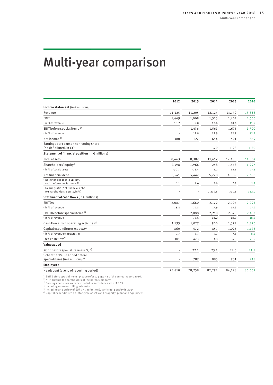# <span id="page-14-0"></span>Multi-year comparison

|                                                                                       | 2012     | 2013     | 2014    | 2015   | 2016   |
|---------------------------------------------------------------------------------------|----------|----------|---------|--------|--------|
| Income statement (in $\epsilon$ millions)                                             |          |          |         |        |        |
| Revenue                                                                               | 11,125   | 11,205   | 12,124  | 13,179 | 13,338 |
| EBIT                                                                                  | 1,469    | 1,008    | 1,523   | 1,402  | 1,556  |
| • in % of revenue                                                                     | 13.2     | 9.0      | 12.6    | 10.6   | 11.7   |
| EBIT before special items <sup>1)</sup>                                               |          | 1,436    | 1,561   | 1,676  | 1,700  |
| · in % of revenue                                                                     |          | 12.8     | 12.9    | 12.7   | 12.7   |
| Net income <sup>2)</sup>                                                              | 380      | 127      | 654     | 591    | 859    |
| Earnings per common non-voting share<br>(basic/diluted, in $\epsilon$ ) <sup>3)</sup> |          |          | 1.29    | 1.28   | 1.30   |
| Statement of financial position (in € millions)                                       |          |          |         |        |        |
| <b>Total assets</b>                                                                   | 8,463    | 8,387    | 11,617  | 12,480 | 11,564 |
| Shareholders' equity <sup>4)</sup>                                                    | $-2,598$ | $-1,966$ | 258     | 1,568  | 1,997  |
| . in % of total assets                                                                | $-30.7$  | $-23.4$  | 2.2     | 12.6   | 17.3   |
| Net financial debt                                                                    | 6,541    | 5,447    | 5,778   | 4,889  | 2,636  |
| · Net financial debt to EBITDA<br>ratio before special items <sup>1)</sup>            | 3.1      | 2.6      | 2.6     | 2.1    | 1.1    |
| · Gearing ratio (Net financial debt<br>to shareholders' equity, in %)                 |          |          | 2,239.5 | 311.8  | 132.0  |
| Statement of cash flows (in € millions)                                               |          |          |         |        |        |
| EBITDA                                                                                | 2,087    | 1,660    | 2,172   | 2,096  | 2,293  |
| • in % of revenue                                                                     | 18.8     | 14.8     | 17.9    | 15.9   | 17.2   |
| EBITDA before special items <sup>1)</sup>                                             |          | 2,088    | 2,210   | 2,370  | 2,437  |
| · in % of revenue                                                                     |          | 18.6     | 18.2    | 18.0   | 18.3   |
| Cash flows from operating activities <sup>5)</sup>                                    | 1,133    | 1,027    | 900     | 1,372  | 1,876  |
| Capital expenditures (capex) 6)                                                       | 860      | 572      | 857     | 1,025  | 1,146  |
| • in % of revenue (capex ratio)                                                       | 7.7      | 5.1      | 7.1     | 7.8    | 8.6    |
| Free cash flow <sup>5)</sup>                                                          | 301      | 473      | 48      | 370    | 735    |
| Value added                                                                           |          |          |         |        |        |
| ROCE before special items (in %) $1$ )                                                |          | 22.1     | 23.1    | 22.5   | 21.7   |
| Schaeffler Value Added before<br>special items (in $\in$ millions) <sup>1)</sup>      |          | 787      | 885     | 931    | 915    |
| <b>Employees</b>                                                                      |          |          |         |        |        |
| Headcount (at end of reporting period)                                                | 75,810   | 78,258   | 82,294  | 84,198 | 86,662 |

<sup>1)</sup> EBIT before special items, please refer to page 48 of the annual report 2016.<br><sup>2)</sup> Attributable to shareholders of the parent company.<br><sup>3)</sup> Earnings per share were calculated in accordance with IAS 33.<br>4) Including no

<sup>5)</sup> Including an outflow of EUR 371 m for the EU antitrust penalty in 2014.<br><sup>6)</sup> Capital expenditures on intangible assets and property, plant and equipment.